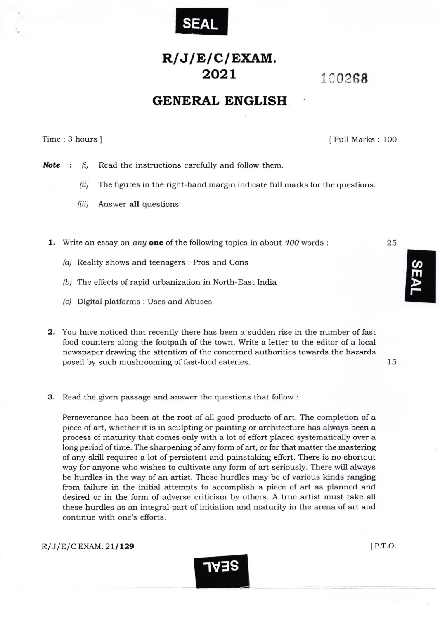

## $R/J/E/C/EXAM$ . 100268

## GENERAL ENGLISH

Time: 3 hours | Ifull Marks : 100

**Note** :  $(i)$  Read the instructions carefully and follow them.

- $(ii)$  The figures in the right-hand margin indicate full marks for the questions.
- $(iii)$  Answer all questions.
- **1.** Write an essay on *any* **one** of the following topics in about 400 words : 25
	- $(a)$  Reality shows and teenagers : Pros and Cons
	- (b/ The effects of rapid urbanization in North-East India
	- (c/ Digital platforms : Uses and Abuses
- **2.** You have noticed that recently there has been a sudden rise in the number of fast food counters along the footpath of the town. Write a letter to the editor of a local newspaper drawing the attention of the concerned authorities towards the hazards posed by such mushrooming of fast-food eateries.
- 3. Read the given passage and answer the questions that follow :

Perseverance has been at the root of all good products of art. The completion of a piece of art, whether it is in sculpting or painting or architecture has always been a process of maturity that comes only witi a lot of elfort placed systematically over a long period of time. The sharpening of any form of art, or for that matter the mastering of any skill requires a lot of persistent and painstaking effort. There is no shortcut way for anyone who wishes to cultivate any form of art seriously. There will always be hurdles in the way of an artist. These hurdles may be of various kinds ranging from failure in the initial attempts to accomplish a piece of art as planned and desired or in the form of adverse criticism by others. A true artist must take all these hurdles as an integral part of initiation and maturity in the arena of art and continue with one's efforts.

 $R/J/E/C$  EXAM. 21/129



<u>ഗ</u> m l-

 $[$  P.T.O.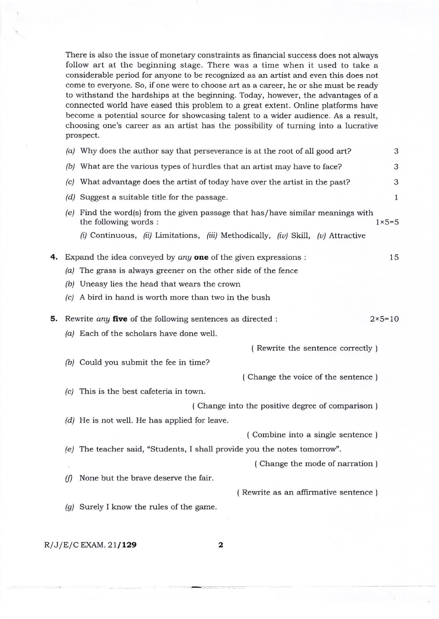There is also the issue of monetary constraints as financial success does not always follow art at the beginning stage. There was a time when it used to take a considerable period for anyone to be recognized as an artist and even this does not come to everyone. So, if one were to choose art as a career, he or she must be ready to withstand the hardships at the beginning. Today, however, the advantages of a connected world have eased this problem to a great extent. Online platforms have become a potential source for showcasing talent to a wider audience. As a result, choosing one's career as an artist has the possibility of turning into a lucrative prospect.

|    |     | (a) Why does the author say that perseverance is at the root of all good art?                                           | З            |
|----|-----|-------------------------------------------------------------------------------------------------------------------------|--------------|
|    |     | (b) What are the various types of hurdles that an artist may have to face?                                              | 3            |
|    |     | $(c)$ What advantage does the artist of today have over the artist in the past?                                         | 3            |
|    |     | (d) Suggest a suitable title for the passage.                                                                           | $\mathbf{1}$ |
|    | (e) | Find the word(s) from the given passage that has/have similar meanings with<br>the following words:<br>$1 \times 5 = 5$ |              |
|    |     | (i) Continuous, (ii) Limitations, (iii) Methodically, (iv) Skill, (v) Attractive                                        |              |
| 4. |     | Expand the idea conveyed by any one of the given expressions :                                                          | 15           |
|    |     | $(a)$ The grass is always greener on the other side of the fence                                                        |              |
|    |     | (b) Uneasy lies the head that wears the crown                                                                           |              |
|    |     | $(c)$ A bird in hand is worth more than two in the bush                                                                 |              |
| 5. |     | $2 \times 5 = 10$<br>Rewrite <i>any</i> five of the following sentences as directed :                                   |              |
|    |     | (a) Each of the scholars have done well.                                                                                |              |
|    |     | (Rewrite the sentence correctly)                                                                                        |              |
|    |     | (b) Could you submit the fee in time?                                                                                   |              |
|    |     | (Change the voice of the sentence)                                                                                      |              |
|    |     | (c) This is the best cafeteria in town.                                                                                 |              |
|    |     | (Change into the positive degree of comparison)                                                                         |              |
|    |     | (d) He is not well. He has applied for leave.                                                                           |              |
|    |     | (Combine into a single sentence)                                                                                        |              |
|    |     | (e) The teacher said, "Students, I shall provide you the notes tomorrow".                                               |              |
|    |     | (Change the mode of narration)                                                                                          |              |
|    | (f) | None but the brave deserve the fair.                                                                                    |              |
|    |     | (Rewrite as an affirmative sentence)                                                                                    |              |
|    |     | (g) Surely I know the rules of the game.                                                                                |              |

## $R/J/E/C$  EXAM. 21/129 2